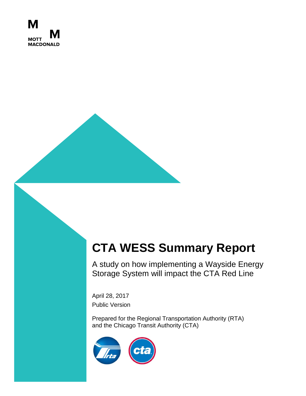

# **CTA WESS Summary Report**

A study on how implementing a Wayside Energy Storage System will impact the CTA Red Line

April 28, 2017 Public Version

Prepared for the Regional Transportation Authority (RTA) and the Chicago Transit Authority (CTA)

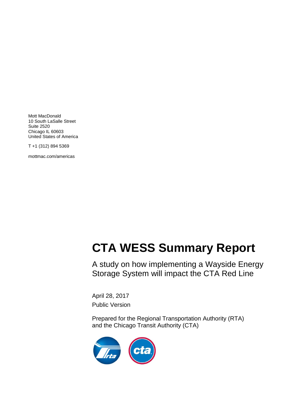Mott MacDonald 10 South LaSalle Street Suite 2520 Chicago IL 60603 United States of America

T +1 (312) 894 5369

mottmac.com/americas

# **CTA WESS Summary Report**

 $\Gamma$ A study on how implementing a Wayside Energy Storage System will impact the CTA Red Line

April 28, 2017 Public Version

Prepared for the Regional Transportation Authority (RTA) and the Chicago Transit Authority (CTA)

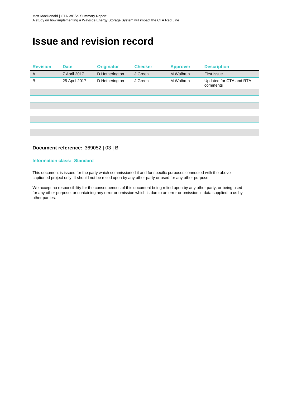# **Issue and revision record**

| <b>Revision</b> | <b>Date</b>   | <b>Originator</b> | <b>Checker</b> | <b>Approver</b> | <b>Description</b>                  |
|-----------------|---------------|-------------------|----------------|-----------------|-------------------------------------|
| $\overline{A}$  | 7 April 2017  | D Hetherington    | J Green        | M Walbrun       | <b>First Issue</b>                  |
| B               | 25 April 2017 | D Hetherington    | J Green        | M Walbrun       | Updated for CTA and RTA<br>comments |
|                 |               |                   |                |                 |                                     |
|                 |               |                   |                |                 |                                     |
|                 |               |                   |                |                 |                                     |
|                 |               |                   |                |                 |                                     |
|                 |               |                   |                |                 |                                     |
|                 |               |                   |                |                 |                                     |
|                 |               |                   |                |                 |                                     |

#### **Document reference:** 369052 | 03 | B

#### **Information class: Standard**

This document is issued for the party which commissioned it and for specific purposes connected with the abovecaptioned project only. It should not be relied upon by any other party or used for any other purpose.

We accept no responsibility for the consequences of this document being relied upon by any other party, or being used for any other purpose, or containing any error or omission which is due to an error or omission in data supplied to us by other parties.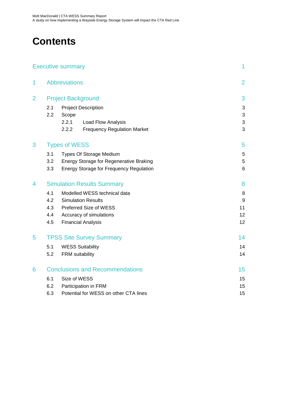# **Contents**

|                |                                        | <b>Executive summary</b>                       | 1              |
|----------------|----------------------------------------|------------------------------------------------|----------------|
| 1              |                                        | <b>Abbreviations</b>                           | $\overline{2}$ |
| $\overline{2}$ | <b>Project Background</b>              |                                                |                |
|                | 2.1                                    | <b>Project Description</b>                     | 3              |
|                | 2.2                                    | Scope                                          | 3              |
|                |                                        | 2.2.1<br>Load Flow Analysis                    | 3              |
|                |                                        | 2.2.2<br><b>Frequency Regulation Market</b>    | 3              |
| 3              | <b>Types of WESS</b>                   | 5                                              |                |
|                | 3.1                                    | <b>Types Of Storage Medium</b>                 | 5              |
|                | 3.2                                    | <b>Energy Storage for Regenerative Braking</b> | 5              |
|                | 3.3                                    | <b>Energy Storage for Frequency Regulation</b> | 6              |
| 4              | <b>Simulation Results Summary</b>      |                                                | 8              |
|                | 4.1                                    | Modelled WESS technical data                   | $\,8\,$        |
|                | 4.2                                    | <b>Simulation Results</b>                      | 9              |
|                | 4.3                                    | Preferred Size of WESS                         | 11             |
|                | 4.4                                    | Accuracy of simulations                        | 12             |
|                | 4.5                                    | <b>Financial Analysis</b>                      | 12             |
| 5              | <b>TPSS Site Survey Summary</b>        |                                                |                |
|                | 5.1                                    | <b>WESS Suitability</b>                        | 14             |
|                | 5.2                                    | FRM suitability                                | 14             |
| 6              | <b>Conclusions and Recommendations</b> |                                                | 15             |
|                | 6.1                                    | 15                                             |                |
|                | 6.2                                    | Size of WESS<br>Participation in FRM           | 15             |
|                | 6.3                                    | 15                                             |                |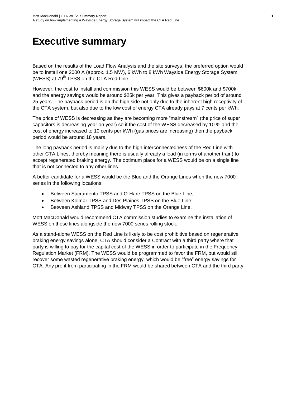# <span id="page-6-0"></span>**Executive summary**

Based on the results of the Load Flow Analysis and the site surveys, the preferred option would be to install one 2000 A (approx. 1.5 MW), 6 kWh to 8 kWh Wayside Energy Storage System (WESS) at  $79<sup>th</sup>$  TPSS on the CTA Red Line.

However, the cost to install and commission this WESS would be between \$600k and \$700k and the energy savings would be around \$25k per year. This gives a payback period of around 25 years. The payback period is on the high side not only due to the inherent high receptivity of the CTA system, but also due to the low cost of energy CTA already pays at 7 cents per kWh.

The price of WESS is decreasing as they are becoming more "mainstream" (the price of super capacitors is decreasing year on year) so if the cost of the WESS decreased by 10 % and the cost of energy increased to 10 cents per kWh (gas prices are increasing) then the payback period would be around 18 years.

The long payback period is mainly due to the high interconnectedness of the Red Line with other CTA Lines, thereby meaning there is usually already a load (in terms of another train) to accept regenerated braking energy. The optimum place for a WESS would be on a single line that is not connected to any other lines.

A better candidate for a WESS would be the Blue and the Orange Lines when the new 7000 series in the following locations:

- Between Sacramento TPSS and O-Hare TPSS on the Blue Line;
- Between Kolmar TPSS and Des Plaines TPSS on the Blue Line;
- Between Ashland TPSS and Midway TPSS on the Orange Line.

Mott MacDonald would recommend CTA commission studies to examine the installation of WESS on these lines alongside the new 7000 series rolling stock.

As a stand-alone WESS on the Red Line is likely to be cost prohibitive based on regenerative braking energy savings alone, CTA should consider a Contract with a third party where that party is willing to pay for the capital cost of the WESS in order to participate in the Frequency Regulation Market (FRM). The WESS would be programmed to favor the FRM, but would still recover some wasted regenerative braking energy, which would be "free" energy savings for CTA. Any profit from participating in the FRM would be shared between CTA and the third party.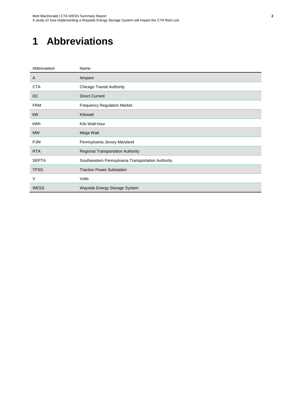# <span id="page-7-0"></span>**1 Abbreviations**

| Abbreviation | Name                                               |
|--------------|----------------------------------------------------|
| A            | Ampere                                             |
| <b>CTA</b>   | <b>Chicago Transit Authority</b>                   |
| <b>DC</b>    | <b>Direct Current</b>                              |
| <b>FRM</b>   | <b>Frequency Regulation Market</b>                 |
| kW           | Kilowatt                                           |
| kWh          | Kilo Watt-hour                                     |
| <b>MW</b>    | Mega Watt                                          |
| <b>PJM</b>   | Pennsylvania Jersey Maryland                       |
| <b>RTA</b>   | <b>Regional Transportation Authority</b>           |
| <b>SEPTA</b> | Southeastern Pennsylvania Transportation Authority |
| <b>TPSS</b>  | <b>Traction Power Substation</b>                   |
| $\vee$       | Volts                                              |
| <b>WESS</b>  | Wayside Energy Storage System                      |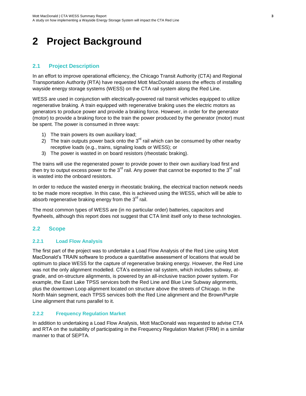# <span id="page-8-0"></span>**2 Project Background**

### <span id="page-8-1"></span>**2.1 Project Description**

In an effort to improve operational efficiency, the Chicago Transit Authority (CTA) and Regional Transportation Authority (RTA) have requested Mott MacDonald assess the effects of installing wayside energy storage systems (WESS) on the CTA rail system along the Red Line.

WESS are used in conjunction with electrically-powered rail transit vehicles equipped to utilize regenerative braking. A train equipped with regenerative braking uses the electric motors as generators to produce power and provide a braking force. However, in order for the generator (motor) to provide a braking force to the train the power produced by the generator (motor) must be spent. The power is consumed in three ways:

- 1) The train powers its own auxiliary load;
- 2) The train outputs power back onto the  $3<sup>rd</sup>$  rail which can be consumed by other nearby receptive loads (e.g., trains, signaling loads or WESS); or
- 3) The power is wasted in on board resistors (rheostatic braking).

The trains will use the regenerated power to provide power to their own auxiliary load first and then try to output excess power to the 3<sup>rd</sup> rail. Any power that cannot be exported to the 3<sup>rd</sup> rail is wasted into the onboard resistors.

In order to reduce the wasted energy in rheostatic braking, the electrical traction network needs to be made more receptive. In this case, this is achieved using the WESS, which will be able to absorb regenerative braking energy from the  $3<sup>rd</sup>$  rail.

The most common types of WESS are (in no particular order) batteries, capacitors and flywheels, although this report does not suggest that CTA limit itself only to these technologies.

### <span id="page-8-2"></span>**2.2 Scope**

#### <span id="page-8-3"></span>**2.2.1 Load Flow Analysis**

The first part of the project was to undertake a Load Flow Analysis of the Red Line using Mott MacDonald's TRAIN software to produce a quantitative assessment of locations that would be optimum to place WESS for the capture of regenerative braking energy. However, the Red Line was not the only alignment modelled. CTA's extensive rail system, which includes subway, atgrade, and on-structure alignments, is powered by an all-inclusive traction power system. For example, the East Lake TPSS services both the Red Line and Blue Line Subway alignments, plus the downtown Loop alignment located on structure above the streets of Chicago. In the North Main segment, each TPSS services both the Red Line alignment and the Brown/Purple Line alignment that runs parallel to it.

#### <span id="page-8-4"></span>**2.2.2 Frequency Regulation Market**

In addition to undertaking a Load Flow Analysis, Mott MacDonald was requested to advise CTA and RTA on the suitability of participating in the Frequency Regulation Market (FRM) in a similar manner to that of SEPTA.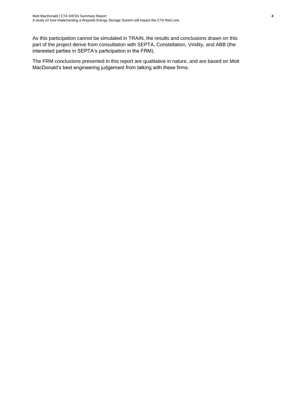As this participation cannot be simulated in TRAIN, the results and conclusions drawn on this part of the project derive from consultation with SEPTA, Constellation, Viridity, and ABB (the interested parties in SEPTA's participation in the FRM).

The FRM conclusions presented in this report are qualitative in nature, and are based on Mott MacDonald's best engineering judgement from talking with these firms.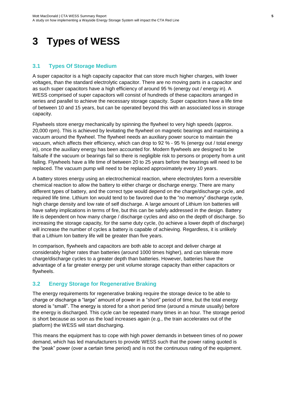# <span id="page-10-0"></span>**3 Types of WESS**

### <span id="page-10-1"></span>**3.1 Types Of Storage Medium**

A super capacitor is a high capacity capacitor that can store much higher charges, with lower voltages, than the standard electrolytic capacitor. There are no moving parts in a capacitor and as such super capacitors have a high efficiency of around 95 % (energy out / energy in). A WESS comprised of super capacitors will consist of hundreds of these capacitors arranged in series and parallel to achieve the necessary storage capacity. Super capacitors have a life time of between 10 and 15 years, but can be operated beyond this with an associated loss in storage capacity.

Flywheels store energy mechanically by spinning the flywheel to very high speeds (approx. 20,000 rpm). This is achieved by levitating the flywheel on magnetic bearings and maintaining a vacuum around the flywheel. The flywheel needs an auxiliary power source to maintain the vacuum, which affects their efficiency, which can drop to 92 % - 95 % (energy out / total energy in), once the auxiliary energy has been accounted for. Modern flywheels are designed to be failsafe if the vacuum or bearings fail so there is negligible risk to persons or property from a unit failing. Flywheels have a life time of between 20 to 25 years before the bearings will need to be replaced. The vacuum pump will need to be replaced approximately every 10 years.

A battery stores energy using an electrochemical reaction, where electrolytes form a reversible chemical reaction to allow the battery to either charge or discharge energy. There are many different types of battery, and the correct type would depend on the charge/discharge cycle, and required life time. Lithium Ion would tend to be favored due to the "no memory" discharge cycle, high charge density and low rate of self discharge. A large amount of Lithium Ion batteries will have safety implications in terms of fire, but this can be safely addressed in the design. Battery life is dependent on how many charge / discharge cycles and also on the depth of discharge. So increasing the storage capacity, for the same duty cycle, (to achieve a lower depth of discharge) will increase the number of cycles a battery is capable of achieving. Regardless, it is unlikely that a Lithium Ion battery life will be greater than five years.

In comparison, flywheels and capacitors are both able to accept and deliver charge at considerably higher rates than batteries (around 1000 times higher), and can tolerate more charge/discharge cycles to a greater depth than batteries. However, batteries have the advantage of a far greater energy per unit volume storage capacity than either capacitors or flywheels.

#### <span id="page-10-2"></span>**3.2 Energy Storage for Regenerative Braking**

The energy requirements for regenerative braking require the storage device to be able to charge or discharge a "large" amount of power in a "short" period of time, but the total energy stored is "small". The energy is stored for a short period time (around a minute usually) before the energy is discharged. This cycle can be repeated many times in an hour. The storage period is short because as soon as the load increases again (e.g., the train accelerates out of the platform) the WESS will start discharging.

This means the equipment has to cope with high power demands in between times of no power demand, which has led manufacturers to provide WESS such that the power rating quoted is the "peak" power (over a certain time period) and is not the continuous rating of the equipment.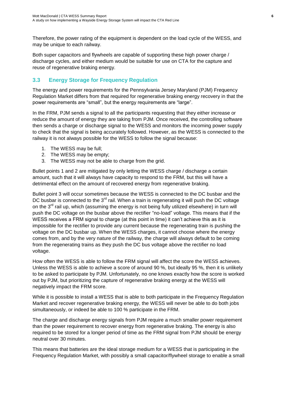Therefore, the power rating of the equipment is dependent on the load cycle of the WESS, and may be unique to each railway.

Both super capacitors and flywheels are capable of supporting these high power charge / discharge cycles, and either medium would be suitable for use on CTA for the capture and reuse of regenerative braking energy.

### <span id="page-11-0"></span>**3.3 Energy Storage for Frequency Regulation**

The energy and power requirements for the Pennsylvania Jersey Maryland (PJM) Frequency Regulation Market differs from that required for regenerative braking energy recovery in that the power requirements are "small", but the energy requirements are "large".

In the FRM, PJM sends a signal to all the participants requesting that they either increase or reduce the amount of energy they are taking from PJM. Once received, the controlling software then sends a charge or discharge signal to the WESS and monitors the incoming power supply to check that the signal is being accurately followed. However, as the WESS is connected to the railway it is not always possible for the WESS to follow the signal because:

- 1. The WESS may be full;
- 2. The WESS may be empty;
- 3. The WESS may not be able to charge from the grid.

Bullet points 1 and 2 are mitigated by only letting the WESS charge / discharge a certain amount, such that it will always have capacity to respond to the FRM, but this will have a detrimental effect on the amount of recovered energy from regenerative braking.

Bullet point 3 will occur sometimes because the WESS is connected to the DC busbar and the DC busbar is connected to the  $3<sup>rd</sup>$  rail. When a train is regenerating it will push the DC voltage on the  $3^{rd}$  rail up, which (assuming the energy is not being fully utilized elsewhere) in turn will push the DC voltage on the busbar above the rectifier "no-load" voltage. This means that if the WESS receives a FRM signal to charge (at this point in time) it can't achieve this as it is impossible for the rectifier to provide any current because the regenerating train is pushing the voltage on the DC busbar up. When the WESS charges, it cannot choose where the energy comes from, and by the very nature of the railway, the charge will always default to be coming from the regenerating trains as they push the DC bus voltage above the rectifier no load voltage.

How often the WESS is able to follow the FRM signal will affect the score the WESS achieves. Unless the WESS is able to achieve a score of around 90 %, but ideally 95 %, then it is unlikely to be asked to participate by PJM. Unfortunately, no one knows exactly how the score is worked out by PJM, but prioritizing the capture of regenerative braking energy at the WESS will negatively impact the FRM score.

While it is possible to install a WESS that is able to both participate in the Frequency Regulation Market and recover regenerative braking energy, the WESS will never be able to do both jobs simultaneously, or indeed be able to 100 % participate in the FRM.

The charge and discharge energy signals from PJM require a much smaller power requirement than the power requirement to recover energy from regenerative braking. The energy is also required to be stored for a longer period of time as the FRM signal from PJM should be energy neutral over 30 minutes.

This means that batteries are the ideal storage medium for a WESS that is participating in the Frequency Regulation Market, with possibly a small capacitor/flywheel storage to enable a small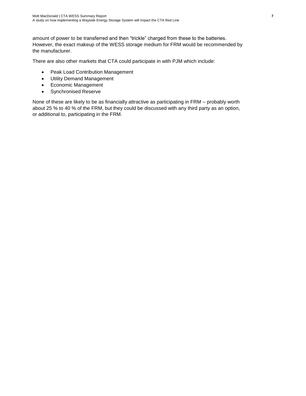amount of power to be transferred and then "trickle" charged from these to the batteries. However, the exact makeup of the WESS storage medium for FRM would be recommended by the manufacturer.

There are also other markets that CTA could participate in with PJM which include:

- Peak Load Contribution Management
- Utility Demand Management
- Economic Management
- Synchronised Reserve

None of these are likely to be as financially attractive as participating in FRM – probably worth about 25 % to 40 % of the FRM, but they could be discussed with any third party as an option, or additional to, participating in the FRM.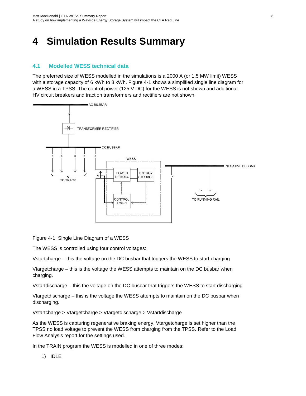# <span id="page-13-0"></span>**4 Simulation Results Summary**

#### <span id="page-13-1"></span>**4.1 Modelled WESS technical data**

The preferred size of WESS modelled in the simulations is a 2000 A (or 1.5 MW limit) WESS with a storage capacity of 6 kWh to 8 kWh. Figure 4-1 shows a simplified single line diagram for a WESS in a TPSS. The control power (125 V DC) for the WESS is not shown and additional HV circuit breakers and traction transformers and rectifiers are not shown.



Figure 4-1: Single Line Diagram of a WESS

The WESS is controlled using four control voltages:

Vstartcharge – this the voltage on the DC busbar that triggers the WESS to start charging

Vtargetcharge – this is the voltage the WESS attempts to maintain on the DC busbar when charging.

Vstartdischarge – this the voltage on the DC busbar that triggers the WESS to start discharging

Vtargetdischarge – this is the voltage the WESS attempts to maintain on the DC busbar when discharging.

Vstartcharge > Vtargetcharge > Vtargetdischarge > Vstartdischarge

As the WESS is capturing regenerative braking energy, Vtargetcharge is set higher than the TPSS no load voltage to prevent the WESS from charging from the TPSS. Refer to the Load Flow Analysis report for the settings used.

In the TRAIN program the WESS is modelled in one of three modes:

1) IDLE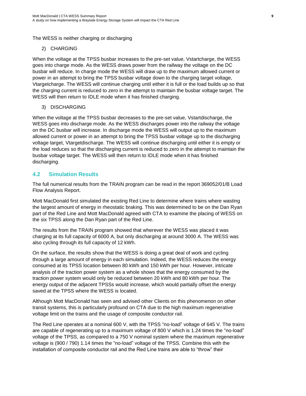The WESS is neither charging or discharging

#### 2) CHARGING

When the voltage at the TPSS busbar increases to the pre-set value, Vstartcharge, the WESS goes into charge mode. As the WESS draws power from the railway the voltage on the DC busbar will reduce. In charge mode the WESS will draw up to the maximum allowed current or power in an attempt to bring the TPSS busbar voltage down to the charging target voltage, Vtargetcharge. The WESS will continue charging until either it is full or the load builds up so that the charging current is reduced to zero in the attempt to maintain the busbar voltage target. The WESS will then return to IDLE mode when it has finished charging.

#### 3) DISCHARGING

When the voltage at the TPSS busbar decreases to the pre-set value, Vstartdischarge, the WESS goes into discharge mode. As the WESS discharges power into the railway the voltage on the DC busbar will increase. In discharge mode the WESS will output up to the maximum allowed current or power in an attempt to bring the TPSS busbar voltage up to the discharging voltage target, Vtargetdischarge. The WESS will continue discharging until either it is empty or the load reduces so that the discharging current is reduced to zero in the attempt to maintain the busbar voltage target. The WESS will then return to IDLE mode when it has finished discharging.

### <span id="page-14-0"></span>**4.2 Simulation Results**

The full numerical results from the TRAIN program can be read in the report 369052/01/B Load Flow Analysis Report.

Mott MacDonald first simulated the existing Red Line to determine where trains where wasting the largest amount of energy in rheostatic braking. This was determined to be on the Dan Ryan part of the Red Line and Mott MacDonald agreed with CTA to examine the placing of WESS on the six TPSS along the Dan Ryan part of the Red Line.

The results from the TRAIN program showed that wherever the WESS was placed it was charging at its full capacity of 6000 A, but only discharging at around 3000 A. The WESS was also cycling through its full capacity of 12 kWh.

On the surface, the results show that the WESS is doing a great deal of work and cycling through a large amount of energy in each simulation. Indeed, the WESS reduces the energy consumed at its TPSS location between 80 kWh and 150 kWh per hour. However, intricate analysis of the traction power system as a whole shows that the energy consumed by the traction power system would only be reduced between 20 kWh and 80 kWh per hour. The energy output of the adjacent TPSSs would increase, which would partially offset the energy saved at the TPSS where the WESS is located.

Although Mott MacDonald has seen and advised other Clients on this phenomenon on other transit systems, this is particularly profound on CTA due to the high maximum regenerative voltage limit on the trains and the usage of composite conductor rail.

The Red Line operates at a nominal 600 V, with the TPSS "no-load" voltage of 645 V. The trains are capable of regenerating up to a maximum voltage of 800 V which is 1.24 times the "no-load" voltage of the TPSS, as compared to a 750 V nominal system where the maximum regenerative voltage is (900 / 790) 1.14 times the "no-load" voltage of the TPSS. Combine this with the installation of composite conductor rail and the Red Line trains are able to "throw" their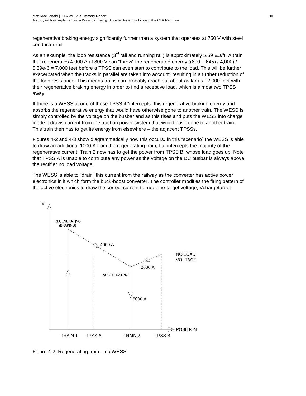regenerative braking energy significantly further than a system that operates at 750 V with steel conductor rail.

As an example, the loop resistance (3<sup>rd</sup> rail and running rail) is approximately 5.59  $\mu\Omega$ /ft. A train that regenerates 4,000 A at 800 V can "throw" the regenerated energy ( $(800 - 645) / 4,000$ ) / 5.59e-6 = 7,000 feet before a TPSS can even start to contribute to the load. This will be further exacerbated when the tracks in parallel are taken into account, resulting in a further reduction of the loop resistance. This means trains can probably reach out about as far as 12,000 feet with their regenerative braking energy in order to find a receptive load, which is almost two TPSS away.

If there is a WESS at one of these TPSS it "intercepts" this regenerative braking energy and absorbs the regenerative energy that would have otherwise gone to another train. The WESS is simply controlled by the voltage on the busbar and as this rises and puts the WESS into charge mode it draws current from the traction power system that would have gone to another train. This train then has to get its energy from elsewhere – the adjacent TPSSs.

Figures 4-2 and 4-3 show diagrammatically how this occurs. In this "scenario" the WESS is able to draw an additional 1000 A from the regenerating train, but intercepts the majority of the regenerative current. Train 2 now has to get the power from TPSS B, whose load goes up. Note that TPSS A is unable to contribute any power as the voltage on the DC busbar is always above the rectifier no load voltage.

The WESS is able to "drain" this current from the railway as the converter has active power electronics in it which form the buck-boost converter. The controller modifies the firing pattern of the active electronics to draw the correct current to meet the target voltage, Vchargetarget.



Figure 4-2: Regenerating train – no WESS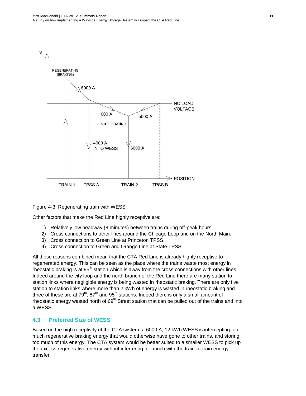

Figure 4-3: Regenerating train with WESS

Other factors that make the Red Line highly receptive are:

- 1) Relatively low headway (8 minutes) between trains during off-peak hours.
- 2) Cross connections to other lines around the Chicago Loop and on the North Main.
- 3) Cross connection to Green Line at Princeton TPSS.
- 4) Cross connection to Green and Orange Line at State TPSS.

All these reasons combined mean that the CTA Red Line is already highly receptive to regenerated energy. This can be seen as the place where the trains waste most energy in rheostatic braking is at  $95<sup>th</sup>$  station which is away from the cross connections with other lines. Indeed around the city loop and the north branch of the Red Line there are many station to station links where negligible energy is being wasted in rheostatic braking. There are only five station to station links where more than 2 kWh of energy is wasted in rheostatic braking and three of these are at  $79<sup>th</sup>$ ,  $87<sup>th</sup>$  and  $95<sup>th</sup>$  stations. Indeed there is only a small amount of rheostatic energy wasted north of 69<sup>th</sup> Street station that can be pulled out of the trains and into a WESS.

#### <span id="page-16-0"></span>**4.3 Preferred Size of WESS**

Based on the high receptivity of the CTA system, a 6000 A, 12 kWh WESS is intercepting too much regenerative braking energy that would otherwise have gone to other trains, and storing too much of this energy. The CTA system would be better suited to a smaller WESS to pick up the excess regenerative energy without interfering too much with the train-to-train energy transfer.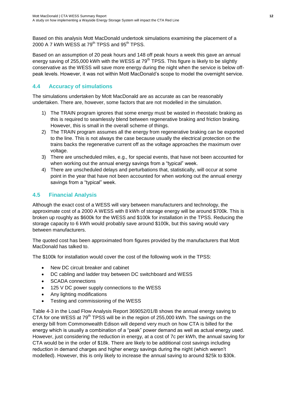Based on this analysis Mott MacDonald undertook simulations examining the placement of a 2000 A 7 kWh WESS at 79<sup>th</sup> TPSS and 95<sup>th</sup> TPSS.

Based on an assumption of 20 peak hours and 148 off peak hours a week this gave an annual energy saving of 255,000 kWh with the WESS at 79<sup>th</sup> TPSS. This figure is likely to be slightly conservative as the WESS will save more energy during the night when the service is below offpeak levels. However, it was not within Mott MacDonald's scope to model the overnight service.

## <span id="page-17-0"></span>**4.4 Accuracy of simulations**

The simulations undertaken by Mott MacDonald are as accurate as can be reasonably undertaken. There are, however, some factors that are not modelled in the simulation.

- 1) The TRAIN program ignores that some energy must be wasted in rheostatic braking as this is required to seamlessly blend between regenerative braking and friction braking. However, this is small in the overall scheme of things.
- 2) The TRAIN program assumes all the energy from regenerative braking can be exported to the line. This is not always the case because usually the electrical protection on the trains backs the regenerative current off as the voltage approaches the maximum over voltage.
- 3) There are unscheduled miles, e.g., for special events, that have not been accounted for when working out the annual energy savings from a "typical" week.
- 4) There are unscheduled delays and perturbations that, statistically, will occur at some point in the year that have not been accounted for when working out the annual energy savings from a "typical" week.

## <span id="page-17-1"></span>**4.5 Financial Analysis**

Although the exact cost of a WESS will vary between manufacturers and technology, the approximate cost of a 2000 A WESS with 8 kWh of storage energy will be around \$700k. This is broken up roughly as \$600k for the WESS and \$100k for installation in the TPSS. Reducing the storage capacity to 6 kWh would probably save around \$100k, but this saving would vary between manufacturers.

The quoted cost has been approximated from figures provided by the manufacturers that Mott MacDonald has talked to.

The \$100k for installation would cover the cost of the following work in the TPSS:

- New DC circuit breaker and cabinet
- DC cabling and ladder tray between DC switchboard and WESS
- SCADA connections
- 125 V DC power supply connections to the WESS
- Any lighting modifications
- Testing and commissioning of the WESS

Table 4-3 in the Load Flow Analysis Report 369052/01/B shows the annual energy saving to CTA for one WESS at  $79<sup>th</sup>$  TPSS will be in the region of 255,000 kWh. The savings on the energy bill from Commonwealth Edison will depend very much on how CTA is billed for the energy which is usually a combination of a "peak" power demand as well as actual energy used. However, just considering the reduction in energy, at a cost of 7c per kWh, the annual saving for CTA would be in the order of \$18k. There are likely to be additional cost savings including reduction in demand charges and higher energy savings during the night (which weren't modelled). However, this is only likely to increase the annual saving to around \$25k to \$30k.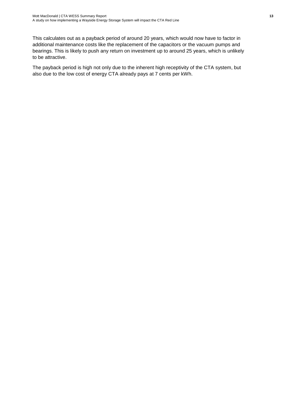This calculates out as a payback period of around 20 years, which would now have to factor in additional maintenance costs like the replacement of the capacitors or the vacuum pumps and bearings. This is likely to push any return on investment up to around 25 years, which is unlikely to be attractive.

The payback period is high not only due to the inherent high receptivity of the CTA system, but also due to the low cost of energy CTA already pays at 7 cents per kWh.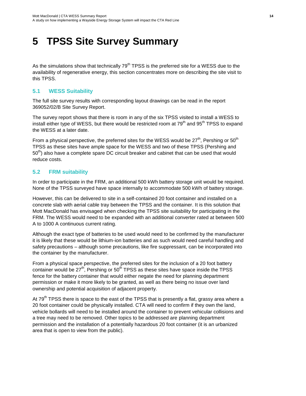# <span id="page-19-0"></span>**5 TPSS Site Survey Summary**

As the simulations show that technically  $79<sup>th</sup> TPSS$  is the preferred site for a WESS due to the availability of regenerative energy, this section concentrates more on describing the site visit to this TPSS.

### <span id="page-19-1"></span>**5.1 WESS Suitability**

The full site survey results with corresponding layout drawings can be read in the report 369052/02/B Site Survey Report.

The survey report shows that there is room in any of the six TPSS visited to install a WESS to install either type of WESS, but there would be restricted room at 79<sup>th</sup> and 95<sup>th</sup> TPSS to expand the WESS at a later date.

From a physical perspective, the preferred sites for the WESS would be  $27<sup>th</sup>$ , Pershing or  $50<sup>th</sup>$ TPSS as these sites have ample space for the WESS and two of these TPSS (Pershing and  $50<sup>th</sup>$ ) also have a complete spare DC circuit breaker and cabinet that can be used that would reduce costs.

### <span id="page-19-2"></span>**5.2 FRM suitability**

In order to participate in the FRM, an additional 500 kWh battery storage unit would be required. None of the TPSS surveyed have space internally to accommodate 500 kWh of battery storage.

However, this can be delivered to site in a self-contained 20 foot container and installed on a concrete slab with aerial cable tray between the TPSS and the container. It is this solution that Mott MacDonald has envisaged when checking the TPSS site suitability for participating in the FRM. The WESS would need to be expanded with an additional converter rated at between 500 A to 1000 A continuous current rating.

Although the exact type of batteries to be used would need to be confirmed by the manufacturer it is likely that these would be lithium-ion batteries and as such would need careful handling and safety precautions – although some precautions, like fire suppressant, can be incorporated into the container by the manufacturer.

From a physical space perspective, the preferred sites for the inclusion of a 20 foot battery container would be  $27<sup>th</sup>$ , Pershing or  $50<sup>th</sup>$  TPSS as these sites have space inside the TPSS fence for the battery container that would either negate the need for planning department permission or make it more likely to be granted, as well as there being no issue over land ownership and potential acquisition of adjacent property.

At 79<sup>th</sup> TPSS there is space to the east of the TPSS that is presently a flat, grassy area where a 20 foot container could be physically installed. CTA will need to confirm if they own the land, vehicle bollards will need to be installed around the container to prevent vehicular collisions and a tree may need to be removed. Other topics to be addressed are planning department permission and the installation of a potentially hazardous 20 foot container (it is an urbanized area that is open to view from the public).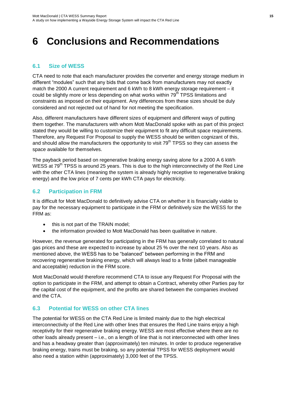# <span id="page-20-0"></span>**6 Conclusions and Recommendations**

### <span id="page-20-1"></span>**6.1 Size of WESS**

CTA need to note that each manufacturer provides the converter and energy storage medium in different "modules" such that any bids that come back from manufacturers may not exactly match the 2000 A current requirement and 6 kWh to 8 kWh energy storage requirement – it could be slightly more or less depending on what works within 79<sup>th</sup> TPSS limitations and constraints as imposed on their equipment. Any differences from these sizes should be duly considered and not rejected out of hand for not meeting the specification.

Also, different manufacturers have different sizes of equipment and different ways of putting them together. The manufacturers with whom Mott MacDonald spoke with as part of this project stated they would be willing to customize their equipment to fit any difficult space requirements. Therefore, any Request For Proposal to supply the WESS should be written cognizant of this, and should allow the manufacturers the opportunity to visit  $79<sup>th</sup> TPSS$  so they can assess the space available for themselves.

The payback period based on regenerative braking energy saving alone for a 2000 A 6 kWh WESS at 79<sup>th</sup> TPSS is around 25 years. This is due to the high interconnectivity of the Red Line with the other CTA lines (meaning the system is already highly receptive to regenerative braking energy) and the low price of 7 cents per kWh CTA pays for electricity.

### <span id="page-20-2"></span>**6.2 Participation in FRM**

It is difficult for Mott MacDonald to definitively advise CTA on whether it is financially viable to pay for the necessary equipment to participate in the FRM or definitively size the WESS for the FRM as:

- this is not part of the TRAIN model;
- the information provided to Mott MacDonald has been qualitative in nature.

However, the revenue generated for participating in the FRM has generally correlated to natural gas prices and these are expected to increase by about 25 % over the next 10 years. Also as mentioned above, the WESS has to be "balanced" between performing in the FRM and recovering regenerative braking energy, which will always lead to a finite (albeit manageable and acceptable) reduction in the FRM score.

Mott MacDonald would therefore recommend CTA to issue any Request For Proposal with the option to participate in the FRM, and attempt to obtain a Contract, whereby other Parties pay for the capital cost of the equipment, and the profits are shared between the companies involved and the CTA.

### <span id="page-20-3"></span>**6.3 Potential for WESS on other CTA lines**

The potential for WESS on the CTA Red Line is limited mainly due to the high electrical interconnectivity of the Red Line with other lines that ensures the Red Line trains enjoy a high receptivity for their regenerative braking energy. WESS are most effective where there are no other loads already present – i.e., on a length of line that is not interconnected with other lines and has a headway greater than (approximately) ten minutes. In order to produce regenerative braking energy, trains must be braking, so any potential TPSS for WESS deployment would also need a station within (approximately) 3,000 feet of the TPSS.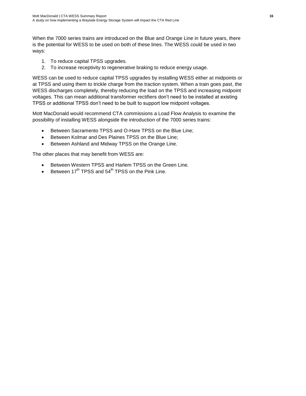When the 7000 series trains are introduced on the Blue and Orange Line in future years, there is the potential for WESS to be used on both of these lines. The WESS could be used in two ways:

- 1. To reduce capital TPSS upgrades.
- 2. To increase receptivity to regenerative braking to reduce energy usage.

WESS can be used to reduce capital TPSS upgrades by installing WESS either at midpoints or at TPSS and using them to trickle charge from the traction system. When a train goes past, the WESS discharges completely, thereby reducing the load on the TPSS and increasing midpoint voltages. This can mean additional transformer rectifiers don't need to be installed at existing TPSS or additional TPSS don't need to be built to support low midpoint voltages.

Mott MacDonald would recommend CTA commissions a Load Flow Analysis to examine the possibility of installing WESS alongside the introduction of the 7000 series trains:

- Between Sacramento TPSS and O-Hare TPSS on the Blue Line;
- **•** Between Kolmar and Des Plaines TPSS on the Blue Line;
- Between Ashland and Midway TPSS on the Orange Line.

The other places that may benefit from WESS are:

- Between Western TPSS and Harlem TPSS on the Green Line.
- Between  $17<sup>th</sup>$  TPSS and  $54<sup>th</sup>$  TPSS on the Pink Line.